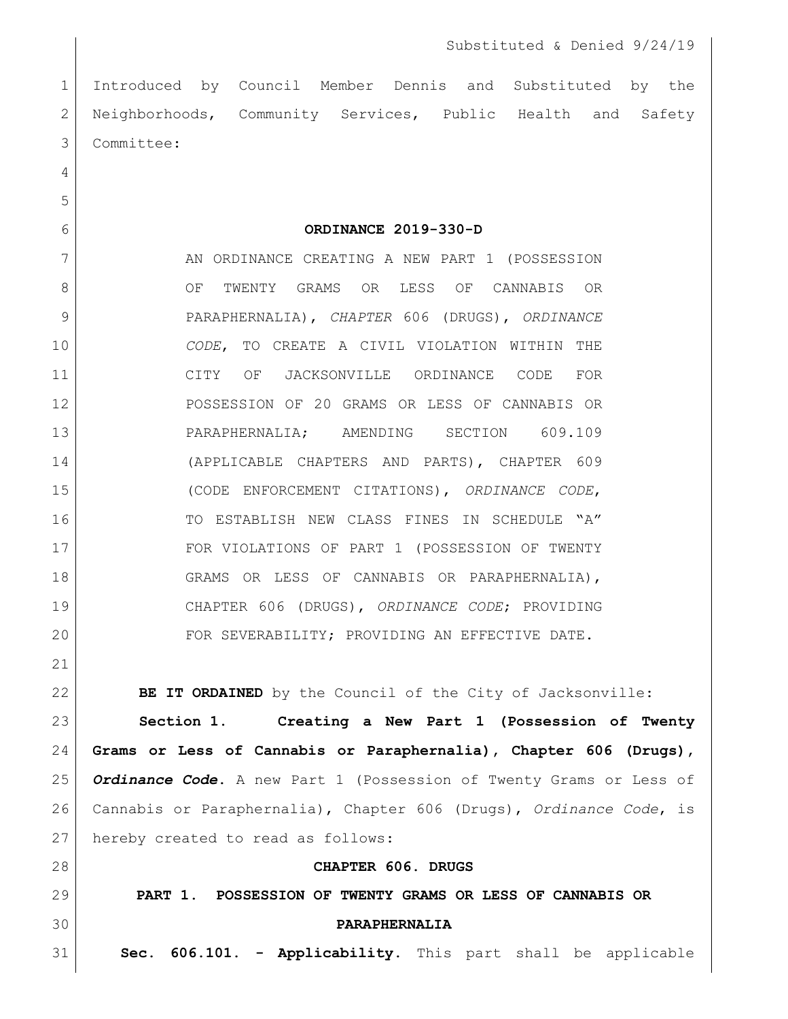Introduced by Council Member Dennis and Substituted by the 2 Neighborhoods, Community Services, Public Health and Safety Committee:

**ORDINANCE 2019-330-D**

7 AN ORDINANCE CREATING A NEW PART 1 (POSSESSION 8 OF TWENTY GRAMS OR LESS OF CANNABIS OR PARAPHERNALIA), *CHAPTER* 606 (DRUGS), *ORDINANCE CODE*, TO CREATE A CIVIL VIOLATION WITHIN THE CITY OF JACKSONVILLE ORDINANCE CODE FOR POSSESSION OF 20 GRAMS OR LESS OF CANNABIS OR PARAPHERNALIA; AMENDING SECTION 609.109 (APPLICABLE CHAPTERS AND PARTS), CHAPTER 609 (CODE ENFORCEMENT CITATIONS), *ORDINANCE CODE*, 16 TO ESTABLISH NEW CLASS FINES IN SCHEDULE "A" FOR VIOLATIONS OF PART 1 (POSSESSION OF TWENTY GRAMS OR LESS OF CANNABIS OR PARAPHERNALIA), CHAPTER 606 (DRUGS), *ORDINANCE CODE*; PROVIDING 20 FOR SEVERABILITY; PROVIDING AN EFFECTIVE DATE.

**BE IT ORDAINED** by the Council of the City of Jacksonville:

 **Section 1. Creating a New Part 1 (Possession of Twenty Grams or Less of Cannabis or Paraphernalia), Chapter 606 (Drugs),**  *Ordinance Code***.** A new Part 1 (Possession of Twenty Grams or Less of Cannabis or Paraphernalia), Chapter 606 (Drugs), *Ordinance Code*, is 27 | hereby created to read as follows:

 **CHAPTER 606. DRUGS PART 1. POSSESSION OF TWENTY GRAMS OR LESS OF CANNABIS OR PARAPHERNALIA Sec. 606.101. - Applicability.** This part shall be applicable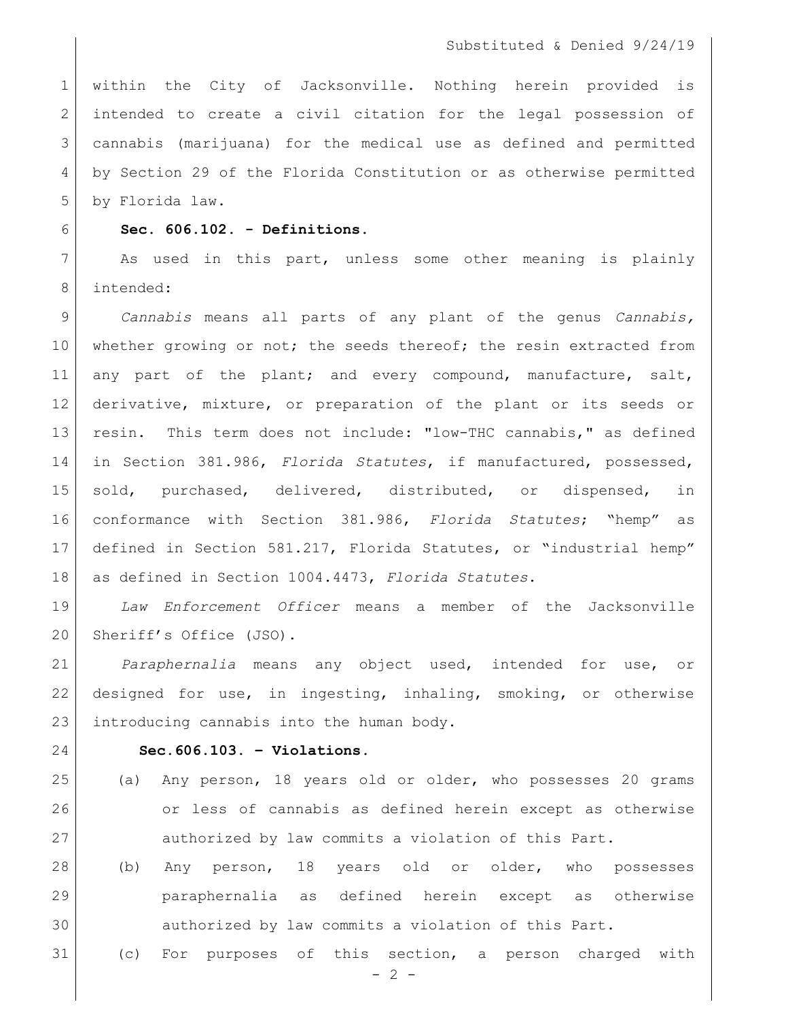within the City of Jacksonville. Nothing herein provided is 2 intended to create a civil citation for the legal possession of cannabis (marijuana) for the medical use as defined and permitted by Section 29 of the Florida Constitution or as otherwise permitted by Florida law.

## **Sec. 606.102. - Definitions.**

7 As used in this part, unless some other meaning is plainly intended:

 *Cannabis* means all parts of any plant of the genus *Cannabis,* 10 whether growing or not; the seeds thereof; the resin extracted from 11 any part of the plant; and every compound, manufacture, salt, derivative, mixture, or preparation of the plant or its seeds or resin. This term does not include: "low-THC cannabis," as defined in Section 381.986, *Florida Statutes*, if manufactured, possessed, sold, purchased, delivered, distributed, or dispensed, in conformance with Section 381.986, *Florida Statutes*; "hemp" as defined in Section 581.217, Florida Statutes, or "industrial hemp" as defined in Section 1004.4473, *Florida Statutes*.

 *Law Enforcement Officer* means a member of the Jacksonville 20 Sheriff's Office (JSO).

 *Paraphernalia* means any object used, intended for use, or designed for use, in ingesting, inhaling, smoking, or otherwise 23 introducing cannabis into the human body.

## **Sec.606.103. – Violations.**

- (a) Any person, 18 years old or older, who possesses 20 grams or less of cannabis as defined herein except as otherwise authorized by law commits a violation of this Part.
- (b) Any person, 18 years old or older, who possesses paraphernalia as defined herein except as otherwise authorized by law commits a violation of this Part.
- (c) For purposes of this section, a person charged with

 $-2 -$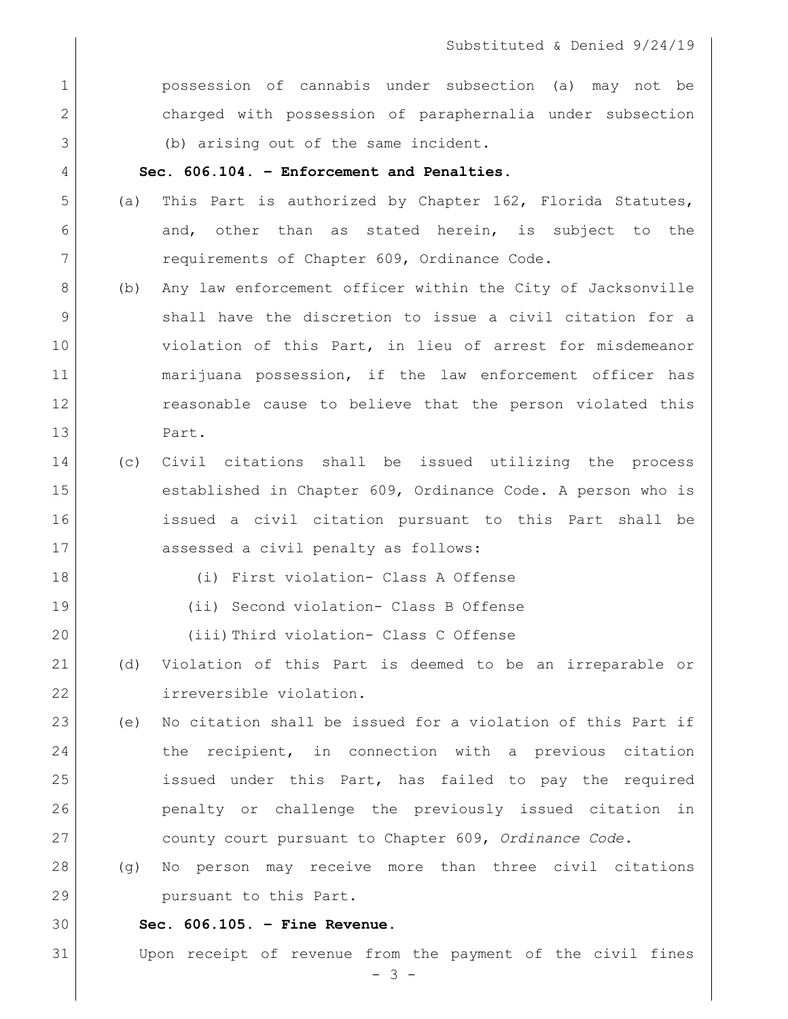**possession** of cannabis under subsection (a) may not be charged with possession of paraphernalia under subsection 3 (b) arising out of the same incident.

## **Sec. 606.104. – Enforcement and Penalties.**

- 5 (a) This Part is authorized by Chapter 162, Florida Statutes, 6 6 and, other than as stated herein, is subject to the 7 requirements of Chapter 609, Ordinance Code.
- (b) Any law enforcement officer within the City of Jacksonville shall have the discretion to issue a civil citation for a violation of this Part, in lieu of arrest for misdemeanor marijuana possession, if the law enforcement officer has reasonable cause to believe that the person violated this Part.
- (c) Civil citations shall be issued utilizing the process established in Chapter 609, Ordinance Code. A person who is issued a civil citation pursuant to this Part shall be 17 assessed a civil penalty as follows:
	-
- (i) First violation- Class A Offense
- (ii) Second violation- Class B Offense
- (iii)Third violation- Class C Offense
- (d) Violation of this Part is deemed to be an irreparable or irreversible violation.
- (e) No citation shall be issued for a violation of this Part if the recipient, in connection with a previous citation issued under this Part, has failed to pay the required penalty or challenge the previously issued citation in county court pursuant to Chapter 609, *Ordinance Code*.
- (g) No person may receive more than three civil citations 29 pursuant to this Part.
- **Sec. 606.105. – Fine Revenue.**

Upon receipt of revenue from the payment of the civil fines

- 3 -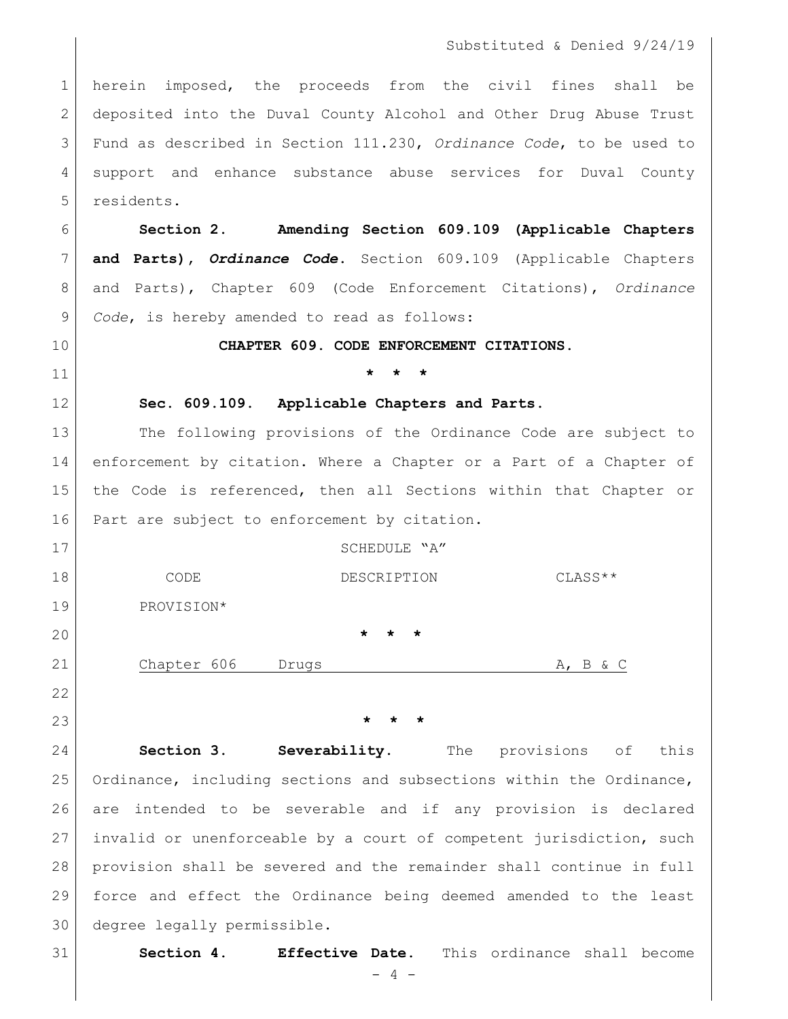herein imposed, the proceeds from the civil fines shall be deposited into the Duval County Alcohol and Other Drug Abuse Trust Fund as described in Section 111.230, *Ordinance Code*, to be used to support and enhance substance abuse services for Duval County 5 residents.

 **Section 2. Amending Section 609.109 (Applicable Chapters and Parts),** *Ordinance Code*. Section 609.109 (Applicable Chapters and Parts), Chapter 609 (Code Enforcement Citations), *Ordinance Code*, is hereby amended to read as follows:

**CHAPTER 609. CODE ENFORCEMENT CITATIONS.**

## **\* \* \***

**Sec. 609.109**. **Applicable Chapters and Parts**.

 The following provisions of the Ordinance Code are subject to enforcement by citation. Where a Chapter or a Part of a Chapter of the Code is referenced, then all Sections within that Chapter or 16 | Part are subject to enforcement by citation.

| 17 |             | SCHEDULE "A"            |                 |
|----|-------------|-------------------------|-----------------|
| 18 | CODE        | DESCRIPTION             | $CLASS**$       |
| 19 | PROVISION*  |                         |                 |
| 20 |             | $\star$ $\star$ $\star$ |                 |
| 21 | Chapter 606 | Drugs                   | $A$ , $B$ & $C$ |

**\* \* \***

 **Section 3. Severability.** The provisions of this Ordinance, including sections and subsections within the Ordinance, are intended to be severable and if any provision is declared invalid or unenforceable by a court of competent jurisdiction, such provision shall be severed and the remainder shall continue in full force and effect the Ordinance being deemed amended to the least degree legally permissible.

**Section 4. Effective Date.** This ordinance shall become

- 4 -